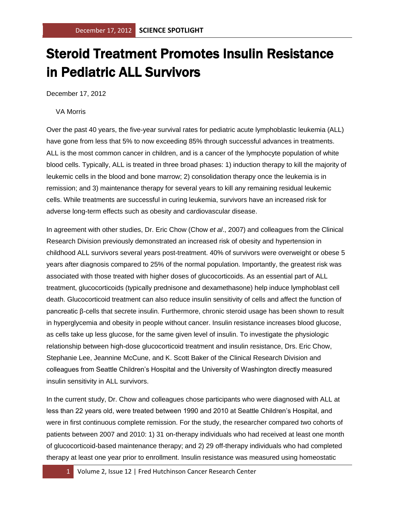## Steroid Treatment Promotes Insulin Resistance in Pediatric ALL Survivors

December 17, 2012

VA Morris

Over the past 40 years, the five-year survival rates for pediatric acute lymphoblastic leukemia (ALL) have gone from less that 5% to now exceeding 85% through successful advances in treatments. ALL is the most common cancer in children, and is a cancer of the lymphocyte population of white blood cells. Typically, ALL is treated in three broad phases: 1) induction therapy to kill the majority of leukemic cells in the blood and bone marrow; 2) consolidation therapy once the leukemia is in remission; and 3) maintenance therapy for several years to kill any remaining residual leukemic cells. While treatments are successful in curing leukemia, survivors have an increased risk for adverse long-term effects such as obesity and cardiovascular disease.

In agreement with other studies, Dr. Eric Chow (Chow *et al*., 2007) and colleagues from the Clinical Research Division previously demonstrated an increased risk of obesity and hypertension in childhood ALL survivors several years post-treatment. 40% of survivors were overweight or obese 5 years after diagnosis compared to 25% of the normal population. Importantly, the greatest risk was associated with those treated with higher doses of glucocorticoids. As an essential part of ALL treatment, glucocorticoids (typically prednisone and dexamethasone) help induce lymphoblast cell death. Glucocorticoid treatment can also reduce insulin sensitivity of cells and affect the function of pancreatic β-cells that secrete insulin. Furthermore, chronic steroid usage has been shown to result in hyperglycemia and obesity in people without cancer. Insulin resistance increases blood glucose, as cells take up less glucose, for the same given level of insulin. To investigate the physiologic relationship between high-dose glucocorticoid treatment and insulin resistance, Drs. Eric Chow, Stephanie Lee, Jeannine McCune, and K. Scott Baker of the Clinical Research Division and colleagues from Seattle Children's Hospital and the University of Washington directly measured insulin sensitivity in ALL survivors.

In the current study, Dr. Chow and colleagues chose participants who were diagnosed with ALL at less than 22 years old, were treated between 1990 and 2010 at Seattle Children's Hospital, and were in first continuous complete remission. For the study, the researcher compared two cohorts of patients between 2007 and 2010: 1) 31 on-therapy individuals who had received at least one month of glucocorticoid-based maintenance therapy; and 2) 29 off-therapy individuals who had completed therapy at least one year prior to enrollment. Insulin resistance was measured using homeostatic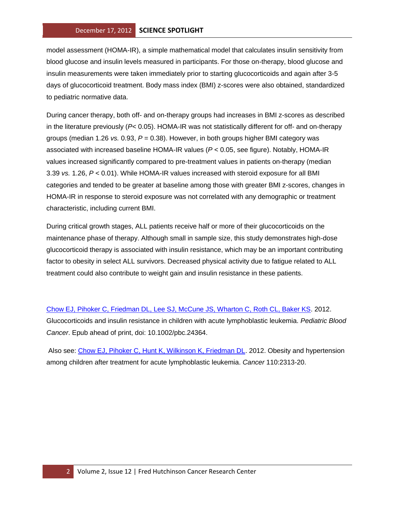model assessment (HOMA-IR), a simple mathematical model that calculates insulin sensitivity from blood glucose and insulin levels measured in participants. For those on-therapy, blood glucose and insulin measurements were taken immediately prior to starting glucocorticoids and again after 3-5 days of glucocorticoid treatment. Body mass index (BMI) z-scores were also obtained, standardized to pediatric normative data.

During cancer therapy, both off- and on-therapy groups had increases in BMI z-scores as described in the literature previously (*P*< 0.05). HOMA-IR was not statistically different for off- and on-therapy groups (median 1.26 *vs.* 0.93, *P* = 0.38). However, in both groups higher BMI category was associated with increased baseline HOMA-IR values (*P* < 0.05, see figure). Notably, HOMA-IR values increased significantly compared to pre-treatment values in patients on-therapy (median 3.39 *vs.* 1.26, *P* < 0.01). While HOMA-IR values increased with steroid exposure for all BMI categories and tended to be greater at baseline among those with greater BMI z-scores, changes in HOMA-IR in response to steroid exposure was not correlated with any demographic or treatment characteristic, including current BMI.

During critical growth stages, ALL patients receive half or more of their glucocorticoids on the maintenance phase of therapy. Although small in sample size, this study demonstrates high-dose glucocorticoid therapy is associated with insulin resistance, which may be an important contributing factor to obesity in select ALL survivors. Decreased physical activity due to fatigue related to ALL treatment could also contribute to weight gain and insulin resistance in these patients.

[Chow EJ, Pihoker C, Friedman DL, Lee SJ, McCune JS, Wharton C, Roth CL, Baker KS.](http://www.ncbi.nlm.nih.gov/pubmed/23042765?otool=fhcrclib) 2012. Glucocorticoids and insulin resistance in children with acute lymphoblastic leukemia. *Pediatric Blood Cancer*. Epub ahead of print, doi: 10.1002/pbc.24364.

Also see: [Chow EJ, Pihoker C, Hunt K, Wilkinson K, Friedman DL.](http://www.ncbi.nlm.nih.gov/pubmed/17896787?otool=fhcrclib) 2012. Obesity and hypertension among children after treatment for acute lymphoblastic leukemia. *Cancer* 110:2313-20.